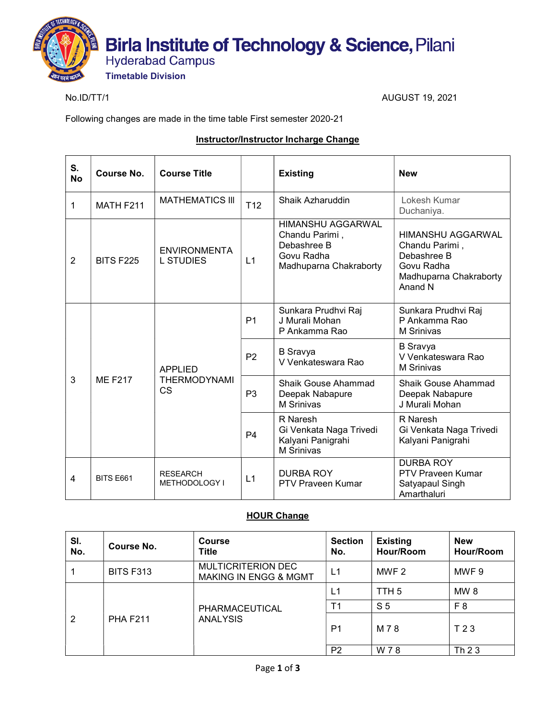

No.ID/TT/1 AUGUST 19, 2021

Following changes are made in the time table First semester 2020-21

#### Instructor/Instructor Incharge Change

| S.<br><b>No</b> | Course No.       | <b>Course Title</b>                                |                | <b>Existing</b>                                                                                   | <b>New</b>                                                                                            |
|-----------------|------------------|----------------------------------------------------|----------------|---------------------------------------------------------------------------------------------------|-------------------------------------------------------------------------------------------------------|
| 1               | MATH F211        | <b>MATHEMATICS III</b>                             | T12            | Shaik Azharuddin                                                                                  | Lokesh Kumar<br>Duchaniya.                                                                            |
| $\overline{2}$  | <b>BITS F225</b> | <b>ENVIRONMENTA</b><br><b>L STUDIES</b>            | L1             | <b>HIMANSHU AGGARWAL</b><br>Chandu Parimi,<br>Debashree B<br>Govu Radha<br>Madhuparna Chakraborty | HIMANSHU AGGARWAL<br>Chandu Parimi,<br>Debashree B<br>Govu Radha<br>Madhuparna Chakraborty<br>Anand N |
| 3               | <b>ME F217</b>   | <b>APPLIED</b><br><b>THERMODYNAMI</b><br><b>CS</b> | P <sub>1</sub> | Sunkara Prudhvi Raj<br>J Murali Mohan<br>P Ankamma Rao                                            | Sunkara Prudhvi Raj<br>P Ankamma Rao<br><b>M</b> Srinivas                                             |
|                 |                  |                                                    | P <sub>2</sub> | <b>B</b> Sravya<br>V Venkateswara Rao                                                             | <b>B</b> Sravya<br>V Venkateswara Rao<br><b>M</b> Srinivas                                            |
|                 |                  |                                                    | P <sub>3</sub> | <b>Shaik Gouse Ahammad</b><br>Deepak Nabapure<br><b>M</b> Srinivas                                | <b>Shaik Gouse Ahammad</b><br>Deepak Nabapure<br>J Murali Mohan                                       |
|                 |                  |                                                    | P <sub>4</sub> | R Naresh<br>Gi Venkata Naga Trivedi<br>Kalyani Panigrahi<br><b>M</b> Srinivas                     | R Naresh<br>Gi Venkata Naga Trivedi<br>Kalyani Panigrahi                                              |
| 4               | <b>BITS E661</b> | <b>RESEARCH</b><br>METHODOLOGY I                   | L1             | <b>DURBA ROY</b><br><b>PTV Praveen Kumar</b>                                                      | <b>DURBA ROY</b><br><b>PTV Praveen Kumar</b><br>Satyapaul Singh<br>Amarthaluri                        |

#### **HOUR Change**

| SI.<br>No. | Course No.       | <b>Course</b><br>Title                                        | <b>Section</b><br>No. | <b>Existing</b><br>Hour/Room | <b>New</b><br>Hour/Room |
|------------|------------------|---------------------------------------------------------------|-----------------------|------------------------------|-------------------------|
|            | <b>BITS F313</b> | <b>MULTICRITERION DEC</b><br><b>MAKING IN ENGG &amp; MGMT</b> | L1                    | MWF 2                        | MWF 9                   |
| 2          | <b>PHA F211</b>  |                                                               | L1                    | TTH <sub>5</sub>             | MW <sub>8</sub>         |
|            |                  | PHARMACEUTICAL                                                | T <sub>1</sub>        | S <sub>5</sub>               | F <sub>8</sub>          |
|            |                  | <b>ANALYSIS</b>                                               | P <sub>1</sub>        | M 7 8                        | T 2 3                   |
|            |                  |                                                               | P <sub>2</sub>        | W 78                         | Th 23                   |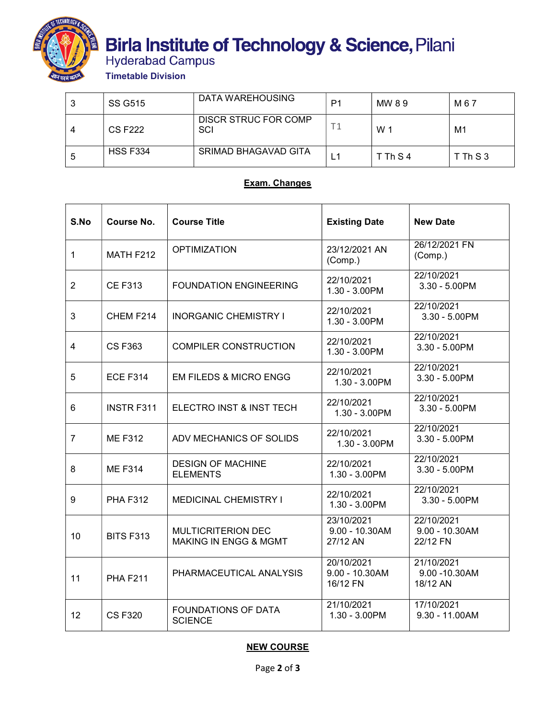

# **Birla Institute of Technology & Science, Pilani<br>Hyderabad Campus<br>Timetable Division**

| 2<br>J | <b>SS G515</b>  | DATA WAREHOUSING                   | P1 | MW 89    | M 6 7    |
|--------|-----------------|------------------------------------|----|----------|----------|
|        | <b>CS F222</b>  | <b>DISCR STRUC FOR COMP</b><br>SCI |    | W        | М1       |
| 5      | <b>HSS F334</b> | SRIMAD BHAGAVAD GITA               |    | T Th S 4 | T Th S 3 |

## Exam. Changes

| S.No           | Course No.        | <b>Course Title</b>                                           | <b>Existing Date</b>                        | <b>New Date</b>                             |
|----------------|-------------------|---------------------------------------------------------------|---------------------------------------------|---------------------------------------------|
| $\mathbf{1}$   | MATH F212         | <b>OPTIMIZATION</b>                                           | 23/12/2021 AN<br>(Comp.)                    | 26/12/2021 FN<br>(Comp.)                    |
| $\overline{2}$ | <b>CE F313</b>    | <b>FOUNDATION ENGINEERING</b>                                 | 22/10/2021<br>1.30 - 3.00PM                 | 22/10/2021<br>3.30 - 5.00PM                 |
| 3              | CHEM F214         | <b>INORGANIC CHEMISTRY I</b>                                  | 22/10/2021<br>1.30 - 3.00PM                 | 22/10/2021<br>$3.30 - 5.00$ PM              |
| $\overline{4}$ | <b>CSF363</b>     | <b>COMPILER CONSTRUCTION</b>                                  | 22/10/2021<br>1.30 - 3.00PM                 | 22/10/2021<br>3.30 - 5.00PM                 |
| 5              | <b>ECE F314</b>   | <b>EM FILEDS &amp; MICRO ENGG</b>                             | 22/10/2021<br>1.30 - 3.00PM                 | 22/10/2021<br>3.30 - 5.00PM                 |
| 6              | <b>INSTR F311</b> | ELECTRO INST & INST TECH                                      | 22/10/2021<br>1.30 - 3.00PM                 | 22/10/2021<br>3.30 - 5.00PM                 |
| $\overline{7}$ | <b>ME F312</b>    | ADV MECHANICS OF SOLIDS                                       | 22/10/2021<br>1.30 - 3.00PM                 | 22/10/2021<br>3.30 - 5.00PM                 |
| 8              | <b>ME F314</b>    | <b>DESIGN OF MACHINE</b><br><b>ELEMENTS</b>                   | 22/10/2021<br>1.30 - 3.00PM                 | 22/10/2021<br>3.30 - 5.00PM                 |
| 9              | <b>PHA F312</b>   | <b>MEDICINAL CHEMISTRY I</b>                                  | 22/10/2021<br>1.30 - 3.00PM                 | 22/10/2021<br>$3.30 - 5.00$ PM              |
| 10             | <b>BITS F313</b>  | <b>MULTICRITERION DEC</b><br><b>MAKING IN ENGG &amp; MGMT</b> | 23/10/2021<br>9.00 - 10.30AM<br>27/12 AN    | 22/10/2021<br>$9.00 - 10.30$ AM<br>22/12 FN |
| 11             | <b>PHA F211</b>   | PHARMACEUTICAL ANALYSIS                                       | 20/10/2021<br>$9.00 - 10.30$ AM<br>16/12 FN | 21/10/2021<br>9.00 - 10.30AM<br>18/12 AN    |
| 12             | <b>CSF320</b>     | <b>FOUNDATIONS OF DATA</b><br><b>SCIENCE</b>                  | 21/10/2021<br>1.30 - 3.00PM                 | 17/10/2021<br>$9.30 - 11.00AM$              |

# NEW COURSE